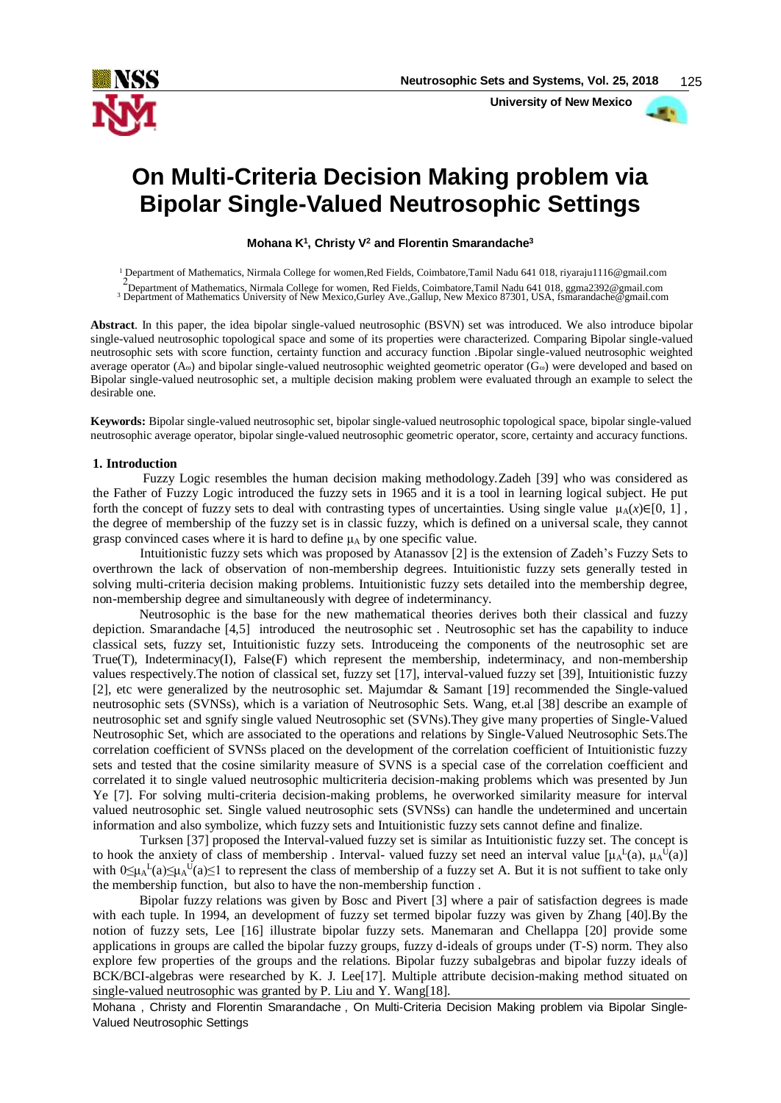

 **University of New Mexico**

# **On Multi-Criteria Decision Making problem via Bipolar Single-Valued Neutrosophic Settings**

**Mohana K<sup>1</sup> , Christy V<sup>2</sup> and Florentin Smarandache<sup>3</sup>**

<sup>1</sup> Department of Mathematics, Nirmala College for women,Red Fields, Coimbatore,Tamil Nadu 641 018, riyaraju1116@gmail.com

2<br>Pepartment of Mathematics, Nirmala College for women, Red Fields, Coimbatore, Tamil Nadu 641 018, ggma2392@gmail.com<br>Department of Mathematics University of New Mexico, Gurley Ave., Gallup, New Mexico 87301, USA, fsmaran

**Abstract**. In this paper, the idea bipolar single-valued neutrosophic (BSVN) set was introduced. We also introduce bipolar single-valued neutrosophic topological space and some of its properties were characterized. Comparing Bipolar single-valued neutrosophic sets with score function, certainty function and accuracy function .Bipolar single-valued neutrosophic weighted average operator  $(A<sub>ω</sub>)$  and bipolar single-valued neutrosophic weighted geometric operator  $(G<sub>ω</sub>)$  were developed and based on Bipolar single-valued neutrosophic set, a multiple decision making problem were evaluated through an example to select the desirable one.

**Keywords:** Bipolar single-valued neutrosophic set, bipolar single-valued neutrosophic topological space, bipolar single-valued neutrosophic average operator, bipolar single-valued neutrosophic geometric operator, score, certainty and accuracy functions.

## **1. Introduction**

 Fuzzy Logic resembles the human decision making methodology.Zadeh [39] who was considered as the Father of Fuzzy Logic introduced the fuzzy sets in 1965 and it is a tool in learning logical subject. He put forth the concept of fuzzy sets to deal with contrasting types of uncertainties. Using single value  $\mu_A(x) \in [0, 1]$ , the degree of membership of the fuzzy set is in classic fuzzy, which is defined on a universal scale, they cannot grasp convinced cases where it is hard to define  $\mu_A$  by one specific value.

Intuitionistic fuzzy sets which was proposed by Atanassov [2] is the extension of Zadeh's Fuzzy Sets to overthrown the lack of observation of non-membership degrees. Intuitionistic fuzzy sets generally tested in solving multi-criteria decision making problems. Intuitionistic fuzzy sets detailed into the membership degree, non-membership degree and simultaneously with degree of indeterminancy.

Neutrosophic is the base for the new mathematical theories derives both their classical and fuzzy depiction. Smarandache [4,5] introduced the neutrosophic set . Neutrosophic set has the capability to induce classical sets, fuzzy set, Intuitionistic fuzzy sets. Introduceing the components of the neutrosophic set are True(T), Indeterminacy(I), False(F) which represent the membership, indeterminacy, and non-membership values respectively.The notion of classical set, fuzzy set [17], interval-valued fuzzy set [39], Intuitionistic fuzzy [2], etc were generalized by the neutrosophic set. Majumdar & Samant [19] recommended the Single-valued neutrosophic sets (SVNSs), which is a variation of Neutrosophic Sets. Wang, et.al [38] describe an example of neutrosophic set and sgnify single valued Neutrosophic set (SVNs).They give many properties of Single-Valued Neutrosophic Set, which are associated to the operations and relations by Single-Valued Neutrosophic Sets.The correlation coefficient of SVNSs placed on the development of the correlation coefficient of Intuitionistic fuzzy sets and tested that the cosine similarity measure of SVNS is a special case of the correlation coefficient and correlated it to single valued neutrosophic multicriteria decision-making problems which was presented by Jun Ye [7]. For solving multi-criteria decision-making problems, he overworked similarity measure for interval valued neutrosophic set. Single valued neutrosophic sets (SVNSs) can handle the undetermined and uncertain information and also symbolize, which fuzzy sets and Intuitionistic fuzzy sets cannot define and finalize.

Turksen [37] proposed the Interval-valued fuzzy set is similar as Intuitionistic fuzzy set. The concept is to hook the anxiety of class of membership. Interval- valued fuzzy set need an interval value  $[\mu_A^L(a), \mu_A^U(a)]$ with  $0 \le \mu_A^{-1}(a) \le \mu_A^{-1}(a) \le 1$  to represent the class of membership of a fuzzy set A. But it is not suffient to take only the membership function, but also to have the non-membership function .

Bipolar fuzzy relations was given by Bosc and Pivert [3] where a pair of satisfaction degrees is made with each tuple. In 1994, an development of fuzzy set termed bipolar fuzzy was given by Zhang [40].By the notion of fuzzy sets, Lee [16] illustrate bipolar fuzzy sets. Manemaran and Chellappa [20] provide some applications in groups are called the bipolar fuzzy groups, fuzzy d-ideals of groups under (T-S) norm. They also explore few properties of the groups and the relations. Bipolar fuzzy subalgebras and bipolar fuzzy ideals of BCK/BCI-algebras were researched by K. J. Lee[17]. Multiple attribute decision-making method situated on single-valued neutrosophic was granted by P. Liu and Y. Wang[18].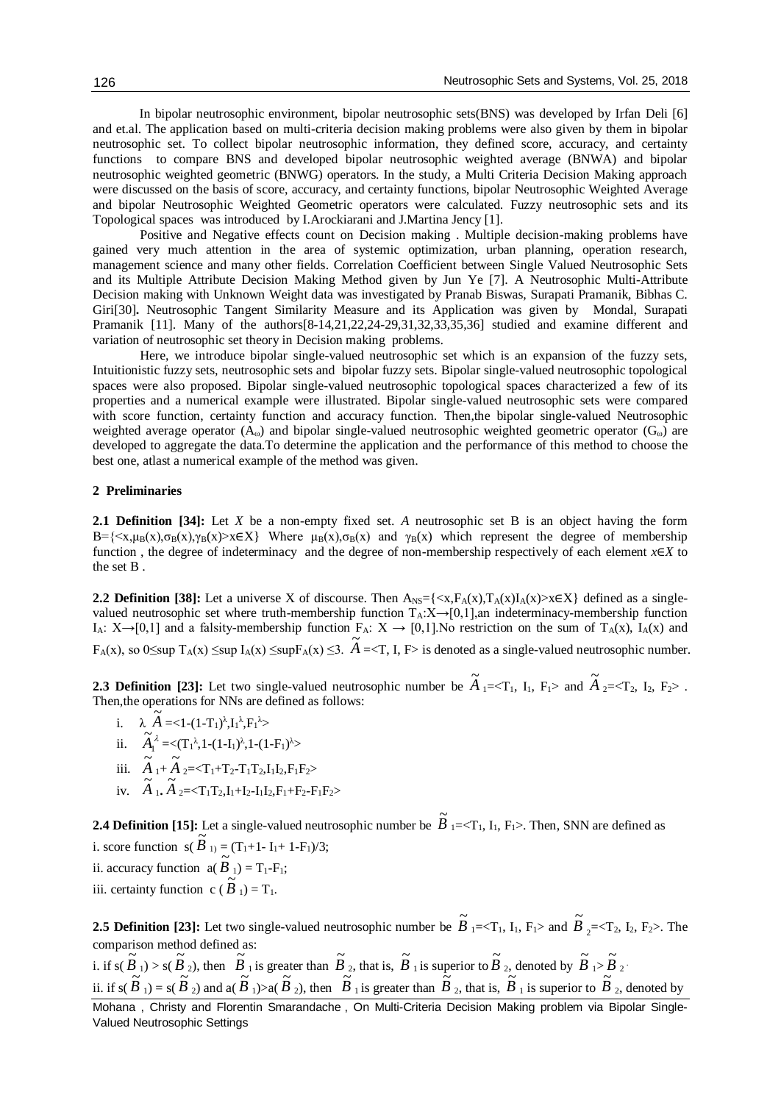In bipolar neutrosophic environment, bipolar neutrosophic sets(BNS) was developed by Irfan Deli [6] and et.al. The application based on multi-criteria decision making problems were also given by them in bipolar neutrosophic set. To collect bipolar neutrosophic information, they defined score, accuracy, and certainty functions to compare BNS and developed bipolar neutrosophic weighted average (BNWA) and bipolar neutrosophic weighted geometric (BNWG) operators. In the study, a Multi Criteria Decision Making approach were discussed on the basis of score, accuracy, and certainty functions, bipolar Neutrosophic Weighted Average and bipolar Neutrosophic Weighted Geometric operators were calculated. Fuzzy neutrosophic sets and its Topological spaces was introduced by I.Arockiarani and J.Martina Jency [1].

Positive and Negative effects count on Decision making . Multiple decision-making problems have gained very much attention in the area of systemic optimization, urban planning, operation research, management science and many other fields. Correlation Coefficient between Single Valued Neutrosophic Sets and its Multiple Attribute Decision Making Method given by Jun Ye [7]. A Neutrosophic Multi-Attribute Decision making with Unknown Weight data was investigated by Pranab Biswas, Surapati Pramanik, Bibhas C. Giri[30]**.** Neutrosophic Tangent Similarity Measure and its Application was given by Mondal, Surapati Pramanik [11]. Many of the authors[8-14,21,22,24-29,31,32,33,35,36] studied and examine different and variation of neutrosophic set theory in Decision making problems.

Here, we introduce bipolar single-valued neutrosophic set which is an expansion of the fuzzy sets, Intuitionistic fuzzy sets, neutrosophic sets and bipolar fuzzy sets. Bipolar single-valued neutrosophic topological spaces were also proposed. Bipolar single-valued neutrosophic topological spaces characterized a few of its properties and a numerical example were illustrated. Bipolar single-valued neutrosophic sets were compared with score function, certainty function and accuracy function. Then, the bipolar single-valued Neutrosophic weighted average operator ( $A<sub>ω</sub>$ ) and bipolar single-valued neutrosophic weighted geometric operator ( $G<sub>ω</sub>$ ) are developed to aggregate the data.To determine the application and the performance of this method to choose the best one, atlast a numerical example of the method was given.

## **2 Preliminaries**

**2.1 Definition [34]:** Let *X* be a non-empty fixed set. *A* neutrosophic set B is an object having the form  $B=\{ \langle x, \mu_B(x), \sigma_B(x), \gamma_B(x) \rangle \times \langle E \rangle \}$  Where  $\mu_B(x), \sigma_B(x)$  and  $\gamma_B(x)$  which represent the degree of membership function , the degree of indeterminacy and the degree of non-membership respectively of each element *x*∈*X* to the set B .

**2.2 Definition [38]:** Let a universe X of discourse. Then  $A_{NS} = \{ \langle x, F_A(x), T_A(x) I_A(x) \rangle \times \in X \}$  defined as a singlevalued neutrosophic set where truth-membership function  $T_A:X\rightarrow[0,1]$ , an indeterminacy-membership function I<sub>A</sub>:  $X \rightarrow [0,1]$  and a falsity-membership function  $F_A: X \rightarrow [0,1]$ . No restriction on the sum of  $T_A(x)$ ,  $I_A(x)$  and FA(x), so  $0 \le \sup T_A(x) \le \sup T_A(x) \le \sup F_A(x) \le 3$ .  $\widetilde{A} = \langle T, I, F \rangle$  is denoted as a single-valued neutrosophic number.

**2.3 Definition [23]:** Let two single-valued neutrosophic number be  $\widetilde{A}_1 = \langle T_1, I_1, F_1 \rangle$  and  $\widetilde{A}_2 = \langle T_2, I_2, F_2 \rangle$ . Then,the operations for NNs are defined as follows:

- i.  $\lambda \widetilde{A} = <1-(1-T_1)^{\lambda}, I_1^{\lambda}, F_1^{\lambda} >$
- ii.  $\widetilde{A}_1^{\lambda}$  $\widetilde{A}_1^{\lambda} = \langle (\mathrm{T}_1^{\lambda}, 1 - (1 - \mathrm{I}_1)^{\lambda}, 1 - (1 - \mathrm{F}_1)^{\lambda} \rangle$
- iii.  $\tilde{A}_1 + \tilde{A}_2 = \langle T_1 + T_2 T_1 T_2, I_1 I_2, F_1 F_2 \rangle$
- iv.  $\widetilde{A}_1, \widetilde{A}_2 = \langle T_1 T_2, I_1 + I_2 I_1 I_2, F_1 + F_2 F_1 F_2 \rangle$

**2.4 Definition [15]:** Let a single-valued neutrosophic number be  $\widetilde{B}_{1}=<\Gamma_{1}$ , I<sub>1</sub>, F<sub>1</sub>>. Then, SNN are defined as i. score function  $s(\tilde{B}_{1}) = (T_1 + 1 - T_1 + T_1)/3;$ ii. accuracy function  $\mathbf{a}(\tilde{B}_1) = \mathbf{T}_1 - \mathbf{F}_1;$ iii. certainty function  $c(\tilde{B}_1) = T_1$ .

**2.5 Definition [23]:** Let two single-valued neutrosophic number be  $\widetilde{B}_{1}=\langle T_1, I_1, F_1 \rangle$  and  $\widetilde{B}$  $_{2}$ =<T<sub>2</sub>, I<sub>2</sub>, F<sub>2</sub>>. The comparison method defined as:

Mohana , Christy and Florentin Smarandache , On Multi-Criteria Decision Making problem via Bipolar Single-Valued Neutrosophic Settings i. if  $s(\tilde{B}_1) > s(\tilde{B}_2)$ , then  $\tilde{B}_1$  is greater than  $\tilde{B}_2$ , that is,  $\tilde{B}_1$  is superior to  $\tilde{B}_2$ , denoted by  $\tilde{B}_1 > \tilde{B}_2$ . ii. if  $s(\tilde{B}_1) = s(\tilde{B}_2)$  and  $a(\tilde{B}_1) > a(\tilde{B}_2)$ , then  $\tilde{B}_1$  is greater than  $\tilde{B}_2$ , that is,  $\tilde{B}_1$  is superior to  $\tilde{B}_2$ , denoted by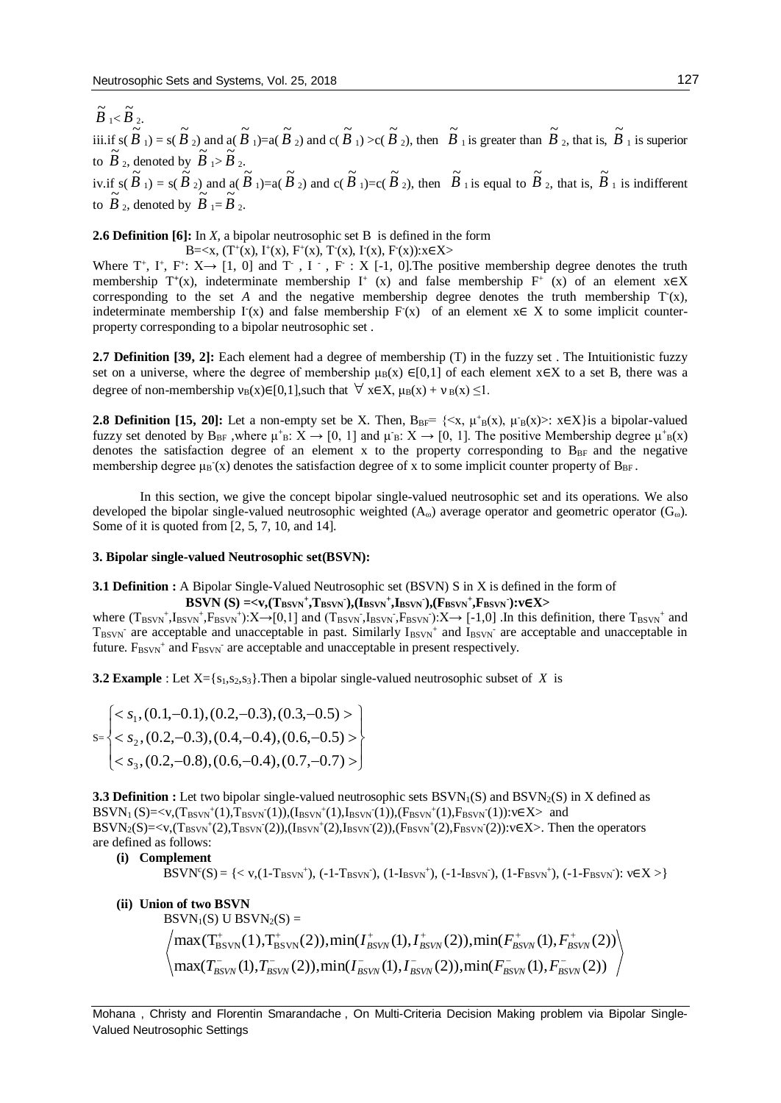$\widetilde{B}$ <sub>1</sub>< $\widetilde{B}$ <sub>2</sub>. iii.if  $s(\tilde{B}_1) = s(\tilde{B}_2)$  and  $a(\tilde{B}_1) = a(\tilde{B}_2)$  and  $c(\tilde{B}_1) > c(\tilde{B}_2)$ , then  $\tilde{B}_1$  is greater than  $\tilde{B}_2$ , that is,  $\tilde{B}_1$  is superior to  $\overline{B}_2$ , denoted by  $\overline{B}_1 > \overline{B}_2$ . iv. if  $s(\tilde{B}_1) = s(\tilde{B}_2)$  and  $a(\tilde{B}_1) = a(\tilde{B}_2)$  and  $c(\tilde{B}_1) = c(\tilde{B}_2)$ , then  $\tilde{B}_1$  is equal to  $\tilde{B}_2$ , that is,  $\tilde{B}_1$  is indifferent to  $\overrightarrow{B}_2$ , denoted by  $\overrightarrow{B}_1 = \overrightarrow{B}_2$ .

**2.6 Definition [6]:** In *X,* a bipolar neutrosophic set B is defined in the form

B=<x,  $(T^+(x), T^+(x), F^+(x), T^-(x), T^-(x), F^-(x)): x \in X$ Where  $T^+$ ,  $I^+$ ,  $F^+$ :  $X \rightarrow [1, 0]$  and  $T^-$ ,  $I^-$ ,  $F^-$ :  $X$  [-1, 0]. The positive membership degree denotes the truth membership T<sup>+</sup>(x), indeterminate membership I<sup>+</sup> (x) and false membership F<sup>+</sup> (x) of an element x∈X corresponding to the set  $A$  and the negative membership degree denotes the truth membership  $T(x)$ , indeterminate membership  $\Gamma(x)$  and false membership  $F(x)$  of an element  $x \in X$  to some implicit counterproperty corresponding to a bipolar neutrosophic set .

**2.7 Definition [39, 2]:** Each element had a degree of membership (T) in the fuzzy set . The Intuitionistic fuzzy set on a universe, where the degree of membership  $\mu_B(x) \in [0,1]$  of each element x∈X to a set B, there was a degree of non-membership  $v_B(x) \in [0,1]$ , such that  $\forall x \in X$ ,  $\mu_B(x) + v_B(x) \leq 1$ .

**2.8 Definition [15, 20]:** Let a non-empty set be X. Then,  $B_{BF} = \{ \langle x, \mu^+_{B}(x), \mu^-_{B}(x) \rangle : x \in X \}$  is a bipolar-valued fuzzy set denoted by  $B_{BF}$ , where  $\mu^+{}_B: X \to [0, 1]$  and  $\mu^-{}_B: X \to [0, 1]$ . The positive Membership degree  $\mu^+{}_B(x)$ denotes the satisfaction degree of an element x to the property corresponding to  $B_{BF}$  and the negative membership degree  $\mu_B(x)$  denotes the satisfaction degree of x to some implicit counter property of  $B_{BF}$ .

In this section, we give the concept bipolar single-valued neutrosophic set and its operations. We also developed the bipolar single-valued neutrosophic weighted  $(A_{\omega})$  average operator and geometric operator  $(G_{\omega})$ . Some of it is quoted from [2, 5, 7, 10, and 14].

### **3. Bipolar single-valued Neutrosophic set(BSVN):**

**3.1 Definition :** A Bipolar Single-Valued Neutrosophic set (BSVN) S in X is defined in the form of **BSVN** (S) =< $v$ ,(Tbsvn<sup>+</sup>,Tbsvn),(Ibsvn<sup>+</sup>,Ibsvn),(Fbsvn<sup>+</sup>,Fbsvn): $v \in X$ >

where  $(T_{BSVN}^+, I_{BSVN}^+, F_{BSVN}^+)$ :  $X \rightarrow [0,1]$  and  $(T_{BSVN}, I_{BSVN}, F_{BSVN})$ :  $X \rightarrow [-1,0]$ . In this definition, there  $T_{BSVN}^+$  and  $T_{BSVN}$  are acceptable and unacceptable in past. Similarly  $I_{BSVN}$  and  $I_{BSVN}$  are acceptable and unacceptable in future.  $F_{BSVN}^+$  and  $F_{BSVN}^-$  are acceptable and unacceptable in present respectively.

**3.2 Example** : Let  $X = \{s_1, s_2, s_3\}$ . Then a bipolar single-valued neutrosophic subset of *X* is

$$
s = \begin{cases} < s_1, (0.1, -0.1), (0.2, -0.3), (0.3, -0.5) > \\ < s_2, (0.2, -0.3), (0.4, -0.4), (0.6, -0.5) > \\ < s_3, (0.2, -0.8), (0.6, -0.4), (0.7, -0.7) > \end{cases}
$$

**3.3 Definition :** Let two bipolar single-valued neutrosophic sets  $BSVN<sub>1</sub>(S)$  and  $BSVN<sub>2</sub>(S)$  in X defined as  $BSVN_1(S) = \langle v, (T_{BSVN}^+(1), T_{BSVN}^-(1)), (I_{BSVN}^+(1), I_{BSVN}^-(1)), (F_{BSVN}^+(1), F_{BSVN}^-(1)) : v \in X \rangle$  and  $BSVN_2(S) = \langle v, (T_{BSVN}^+(2), T_{BSVN}^-(2)), (I_{BSVN}^+(2), I_{BSVN}^-(2)), (F_{BSVN}^+(2), F_{BSVN}^-(2))$ : $v \in X$ >. Then the operators are defined as follows:

**(i) Complement**

 $BSVN<sup>c</sup>(S) = \{ < v,(1-T_{BSVN}<sup>+</sup>), (-1-T_{BSVN}<sup>+</sup>), (1-I_{BSVN}<sup>+</sup>), (-1-I_{BSVN}<sup>+</sup>), (1-F_{BSVN}<sup>+</sup>), (-1-F_{BSVN}<sup>+</sup>) \}$ 

**(ii) Union of two BSVN**  $BSVN<sub>1</sub>(S)$  U BSVN<sub>2</sub>(S) =  $\max(T_{\text{RSW}}^-(1), T_{\text{RSW}}^-(2)), \min(T_{\text{RSW}}^-(1), T_{\text{RSW}}^-(2)), \min(F_{\text{RSW}}^-(1), F_{\text{RSW}}^-(2))$  $\max(T_{\rm BSVN}^+(1),T_{\rm BSVN}^+(2)),\min(T_{\rm BSVN}^+(1),T_{\rm BSVN}^+(2)),\min(F_{\rm BSVN}^+(1),F_{\rm BSVN}^+(2))$  $T = (1) T^{-}$  (2))  $min(I^{-} (1) I^{-} (2)) min(F^{-} (1) I^{-}$  $^{+}$  (1) T<sup>+</sup> (2)) min(I<sup>+</sup> (1) I<sup>+</sup> (2)) min( $F^{+}$  (1)  $F^{+}$  $B_{\text{SVN}}(1)$ ,  $B_{\text{SVN}}(2)$ ,  $\lim_{\text{H}}(1)$ ,  $B_{\text{SVN}}(1)$ ,  $B_{\text{SVN}}(2)$ ,  $\lim_{\text{H}}(1)$ ,  $B_{\text{SVN}}(1)$ ,  $B_{\text{SVN}}(2)$  $BSVN$  **B** $SVN$  **BSVN BSVN BSVN BSVN**  $T_{RSVN}^{-}(1)$ ,  $T_{RSVN}^{-}(2)$ ),  $min(T_{RSVN}^{-}(1)$ ,  $T_{RSVN}^{-}(2)$ ),  $min(F_{RSVN}^{-}(1)$ ,  $F_{RSVN}^{-}(2)$  $I_{BSVN}^+(1), I_{BSVN}^+(2)$ ), min( $F_{BSVN}^+(1), F$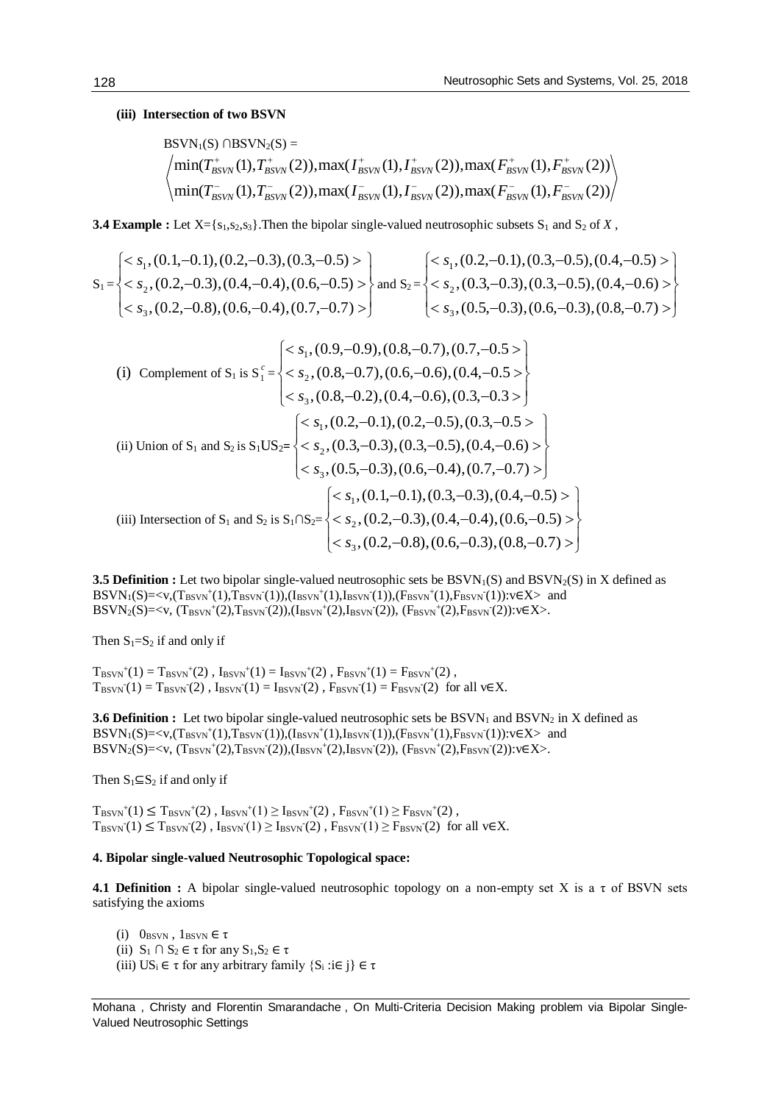# **(iii) Intersection of two BSVN**

$$
BSVN1(S) \cap BSVN2(S) =\n
$$
\left\langle \min(T_{BSVN}^+(1), T_{BSVN}^+(2)), \max(T_{BSVN}^+(1), T_{BSVN}^+(2)), \max(F_{BSVN}^+(1), F_{BSVN}^+(2)) \right\rangle
$$
\n
$$
\left\langle \min(T_{BSVN}^-(1), T_{BSVN}^-(2)), \max(T_{BSVN}^-(1), T_{BSVN}^-(2)), \max(F_{BSVN}^-(1), F_{BSVN}^-(2)) \right\rangle
$$
$$

**3.4 Example :** Let  $X = \{s_1, s_2, s_3\}$ . Then the bipolar single-valued neutrosophic subsets  $S_1$  and  $S_2$  of *X*,

$$
S_1 = \begin{cases} s1, (0.1, -0.1), (0.2, -0.3), (0.3, -0.5) > \\ s2, (0.2, -0.3), (0.4, -0.4), (0.6, -0.5) > \\ s3, (0.2, -0.8), (0.6, -0.4), (0.7, -0.7) > \end{cases} and S_2 = \begin{cases} s1, (0.2, -0.1), (0.3, -0.5), (0.4, -0.5) > \\ s2, (0.3, -0.3), (0.3, -0.5), (0.4, -0.6) > \\ s3, (0.5, -0.3), (0.6, -0.3), (0.8, -0.7) > \end{cases}
$$

(i) Complement of S<sub>1</sub> is S<sub>1</sub><sup>c</sup> = 
$$
\begin{cases} < s_1, (0.9, -0.9), (0.8, -0.7), (0.7, -0.5) \\ < s_2, (0.8, -0.7), (0.6, -0.6), (0.4, -0.5) \\ < s_3, (0.8, -0.2), (0.4, -0.6), (0.3, -0.3) \end{cases}
$$
\n(ii) Union of S<sub>1</sub> and S<sub>2</sub> is S<sub>1</sub>US<sub>2</sub>= 
$$
\begin{cases} < s_1, (0.2, -0.1), (0.2, -0.5), (0.3, -0.5) \\ < s_2, (0.3, -0.3), (0.3, -0.5), (0.4, -0.6) \end{cases}
$$
\n(iii) Intersection of S<sub>1</sub> and S<sub>2</sub> is S<sub>1</sub>US<sub>2</sub>= 
$$
\begin{cases} < s_1, (0.1, -0.1), (0.3, -0.3), (0.4, -0.7) \\ < s_2, (0.2, -0.3), (0.4, -0.4), (0.6, -0.5) \end{cases}
$$
\n(iii) Intersection of S<sub>1</sub> and S<sub>2</sub> is S<sub>1</sub>NS<sub>2</sub>= 
$$
\begin{cases} < s_1, (0.1, -0.1), (0.3, -0.3), (0.4, -0.5) \\ < s_2, (0.2, -0.3), (0.4, -0.4), (0.6, -0.5) \end{cases}
$$

**3.5 Definition :** Let two bipolar single-valued neutrosophic sets be  $BSVN<sub>1</sub>(S)$  and  $BSVN<sub>2</sub>(S)$  in X defined as  $BSVN_1(S) = \langle v, (T_{BSVN}^+(1), T_{BSVN}^-(1)), (I_{BSVN}^+(1), I_{BSVN}^-(1)), (F_{BSVN}^+(1), F_{BSVN}^-(1)) : v \in X \rangle$  and  $\text{BSVN}_2(S) = \langle v, (T_{\text{BSVN}}^+(2), T_{\text{BSVN}}^-(2)), (I_{\text{BSVN}}^+(2), I_{\text{BSVN}}^-(2)), (F_{\text{BSVN}}^+(2), F_{\text{BSVN}}^-(2)) : v \in X \rangle.$ 

Then  $S_1 = S_2$  if and only if

 $T_{\text{BSVN}}^+(1) = T_{\text{BSVN}}^+(2)$ ,  $I_{\text{BSVN}}^+(1) = I_{\text{BSVN}}^+(2)$ ,  $F_{\text{BSVN}}^+(1) = F_{\text{BSVN}}^+(2)$ ,  $T_{BSVN}(1) = T_{BSVN}(2)$ ,  $I_{BSVN}(1) = I_{BSVN}(2)$ ,  $F_{BSVN}(1) = F_{BSVN}(2)$  for all v $\in X$ .

**3.6 Definition :** Let two bipolar single-valued neutrosophic sets be  $BSVN<sub>1</sub>$  and  $BSVN<sub>2</sub>$  in X defined as  $BSVN_1(S) = \langle v, (T_{BSVN}^+(1), T_{BSVN}^-(1)), (I_{BSVN}^+(1), I_{BSVN}^-(1)), (F_{BSVN}^+(1), F_{BSVN}^-(1)) : v \in X \rangle$  and  $\text{BSVN}_2(S) = \langle v, (T_{\text{BSVN}}^+(2), T_{\text{BSVN}}^-(2)), (I_{\text{BSVN}}^+(2), I_{\text{BSVN}}^-(2)), (F_{\text{BSVN}}^+(2), F_{\text{BSVN}}^-(2)) : v \in X \rangle.$ 

Then  $S_1 \subseteq S_2$  if and only if

 $T_{BSVN}^+(1) \leq T_{BSVN}^+(2)$ ,  $I_{BSVN}^+(1) \geq I_{BSVN}^+(2)$ ,  $F_{BSVN}^+(1) \geq F_{BSVN}^+(2)$ ,  $T_{BSVN}(1) \leq T_{BSVN}(2)$ ,  $I_{BSVN}(1) \geq I_{BSVN}(2)$ ,  $F_{BSVN}(1) \geq F_{BSVN}(2)$  for all v $\in$ X.

## **4. Bipolar single-valued Neutrosophic Topological space:**

**4.1 Definition :** A bipolar single-valued neutrosophic topology on a non-empty set X is a τ of BSVN sets satisfying the axioms

(i)  $0_{\text{BSVN}}$ ,  $1_{\text{BSVN}} \in \tau$ (ii)  $S_1 \cap S_2 \in \tau$  for any  $S_1, S_2 \in \tau$ (iii)  $US_i \in \tau$  for any arbitrary family  $\{S_i : i \in j\} \in \tau$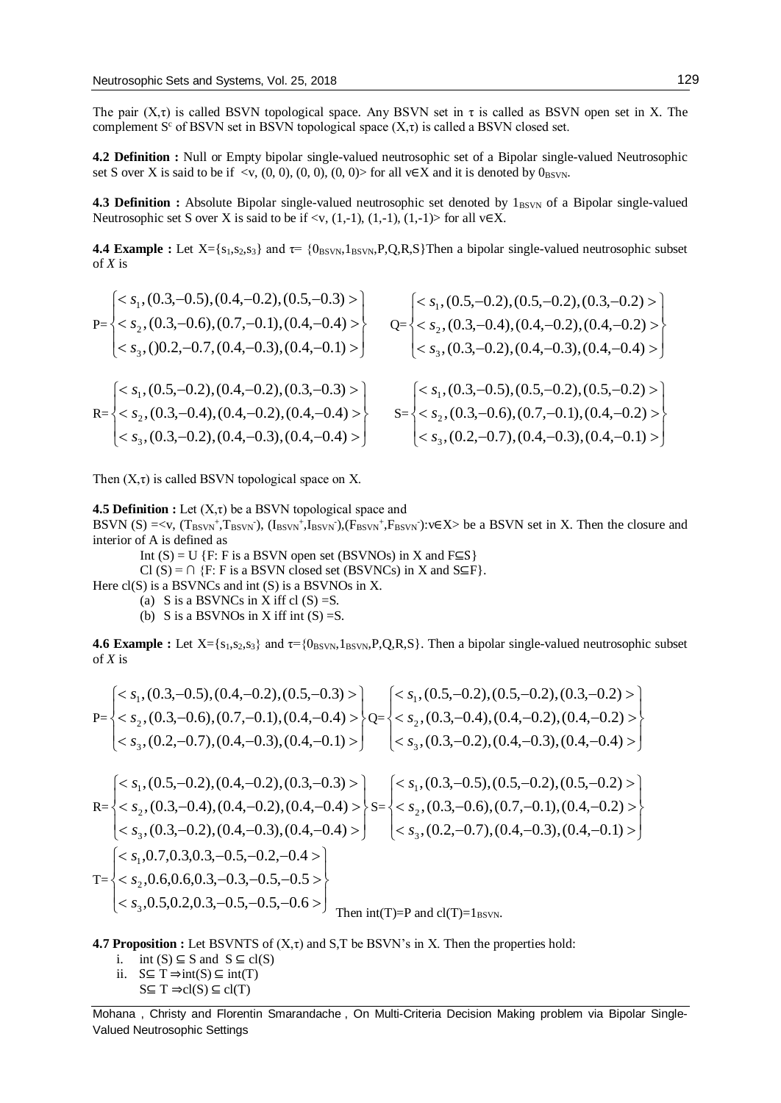The pair  $(X, \tau)$  is called BSVN topological space. Any BSVN set in  $\tau$  is called as BSVN open set in X. The complement S<sup>c</sup> of BSVN set in BSVN topological space  $(X, \tau)$  is called a BSVN closed set.

**4.2 Definition :** Null or Empty bipolar single-valued neutrosophic set of a Bipolar single-valued Neutrosophic set S over X is said to be if <v,  $(0, 0)$ ,  $(0, 0)$ ,  $(0, 0)$  for all v∈X and it is denoted by 0<sub>BSVN</sub>.

**4.3 Definition :** Absolute Bipolar single-valued neutrosophic set denoted by  $1_{\text{BSVN}}$  of a Bipolar single-valued Neutrosophic set S over X is said to be if <v,  $(1,-1)$ ,  $(1,-1)$ ,  $(1,-1)$  for all v $\in X$ .

**4.4 Example** : Let  $X = \{s_1, s_2, s_3\}$  and  $\tau = \{0_{\text{BSVN}}, 1_{\text{BSVN}}, P, Q, R, S\}$ Then a bipolar single-valued neutrosophic subset of *X* is

$$
P=\begin{cases} < s_1, (0.3,-0.5), (0.4,-0.2), (0.5,-0.3) > \\ < s_2, (0.3,-0.6), (0.7,-0.1), (0.4,-0.4) > \\ < s_3, (0.2,-0.7), (0.4,-0.2), (0.4,-0.2) > \\ < s_2, (0.3,-0.4), (0.4,-0.2), (0.4,-0.3) > \\ < s_3, (0.3,-0.2), (0.4,-0.2), (0.4,-0.4) > \\ < s_4, (0.3,0,-0.2), (0.4,-0.2), (0.4,-0.4) > \\ < s_5, (0.3,0,-0.2), (0.4,-0.3), (0.4,-0.4) > \\ < s_6, (0.3,0,-0.2), (0.4,0,-0.3) > \\ < s_7, (0.3,0,0,0,0,-0.2), (0.4,0,0.4) > \\ < s_8, (0.2,0,0,0,0,0,-0.2), (0.4,0,0.1) > \end{cases}
$$

Then  $(X,\tau)$  is called BSVN topological space on X.

**4.5 Definition :** Let  $(X,\tau)$  be a BSVN topological space and

BSVN (S) =<v,  $(T_{BSVN}^+, T_{BSVN}^-, (I_{BSVN}^+, I_{BSVN}^-, (F_{BSVN}^+, F_{BSVN}^-): v \in X >$  be a BSVN set in X. Then the closure and interior of A is defined as

Int  $(S) = U$  {F: F is a BSVN open set (BSVNOs) in X and F⊆S}

Cl (S) =  $\cap$  {F: F is a BSVN closed set (BSVNCs) in X and S⊆F}.

Here  $cl(S)$  is a BSVNCs and int  $(S)$  is a BSVNOs in X.

(a) S is a BSVNCs in X iff cl  $(S) = S$ .

(b) S is a BSVNOs in X iff int  $(S) = S$ .

**4.6 Example :** Let  $X = \{s_1, s_2, s_3\}$  and  $\tau = \{0_{BSVN}, 1_{BSVN}, P, Q, R, S\}$ . Then a bipolar single-valued neutrosophic subset of *X* is

$$
P=\begin{cases} < s_1, (0.3, -0.5), (0.4, -0.2), (0.5, -0.3) > \\ < s_2, (0.3, -0.6), (0.7, -0.1), (0.4, -0.4) > \\ < s_3, (0.2, -0.7), (0.4, -0.3), (0.4, -0.1) > \end{cases} \quad \begin{cases} < s_1, (0.5, -0.2), (0.5, -0.2), (0.3, -0.2) > \\ < s_2, (0.3, -0.4), (0.4, -0.2), (0.4, -0.3) > \\ < s_3, (0.3, -0.2), (0.4, -0.3), (0.4, -0.4) > \end{cases} \quad \begin{cases} < s_1, (0.5, -0.2), (0.5, -0.2), (0.3, -0.2) > \\ < s_3, (0.3, -0.2), (0.4, -0.3), (0.4, -0.2) > \\ < s_2, (0.3, -0.5), (0.5, -0.2), (0.5, -0.2) > \\ < s_3, (0.3, -0.2), (0.4, -0.3), (0.4, -0.4) > \end{cases} \quad \begin{cases} < s_1, (0.3, -0.5), (0.5, -0.2), (0.5, -0.2) > \\ < s_2, (0.3, -0.5), (0.5, -0.2), (0.5, -0.2) > \\ < s_3, (0.3, -0.5), (0.4, -0.3), (0.4, -0.2) > \\ < s_3, (0.2, -0.7), (0.4, -0.3), (0.4, -0.1) > \end{cases} \quad \begin{cases} < s_1, (0.3, -0.5), (0.5, -0.2), (0.5, -0.2) > \\ < s_2, (0.3, -0.5), (0.5, -0.2), (0.5, -0.2) > \\ < s_3, (0.2, -0.7), (0.4, -0.3), (0.4, -0.1) > \end{cases} \quad \begin{cases} &
$$

 $\Big\}$  $\langle s_3, 0.5, 0.2, 0.3, -0.5, -0.5, -0.6 \rangle$  $,0.5,0.2,0.3,-0.5,-0.5,-0.6$ Then int(T)=P and  $cl(T)=1_{\text{BSVN}}$ .

**4.7 Proposition :** Let BSVNTS of  $(X,\tau)$  and  $S$ , T be BSVN's in X. Then the properties hold:

 $\left\{ \right.$ 

i. int  $(S) \subseteq S$  and  $S \subseteq cl(S)$ 

 $\langle s_2, 0.6, 0.6, 0.3, -0.3, -0.5, -0.5 \rangle$ 

 $,0.6,0.6,0.3,-0.3,-0.5,-0.5$ 

ii.  $S \subseteq T \Rightarrow int(S) \subseteq int(T)$ 

 $T=$ 

 $\overline{\mathcal{L}}$ 

3 2

*s s*

₹

 $S \subseteq T \Rightarrow cl(S) \subseteq cl(T)$ 

Mohana , Christy and Florentin Smarandache , On Multi-Criteria Decision Making problem via Bipolar Single-Valued Neutrosophic Settings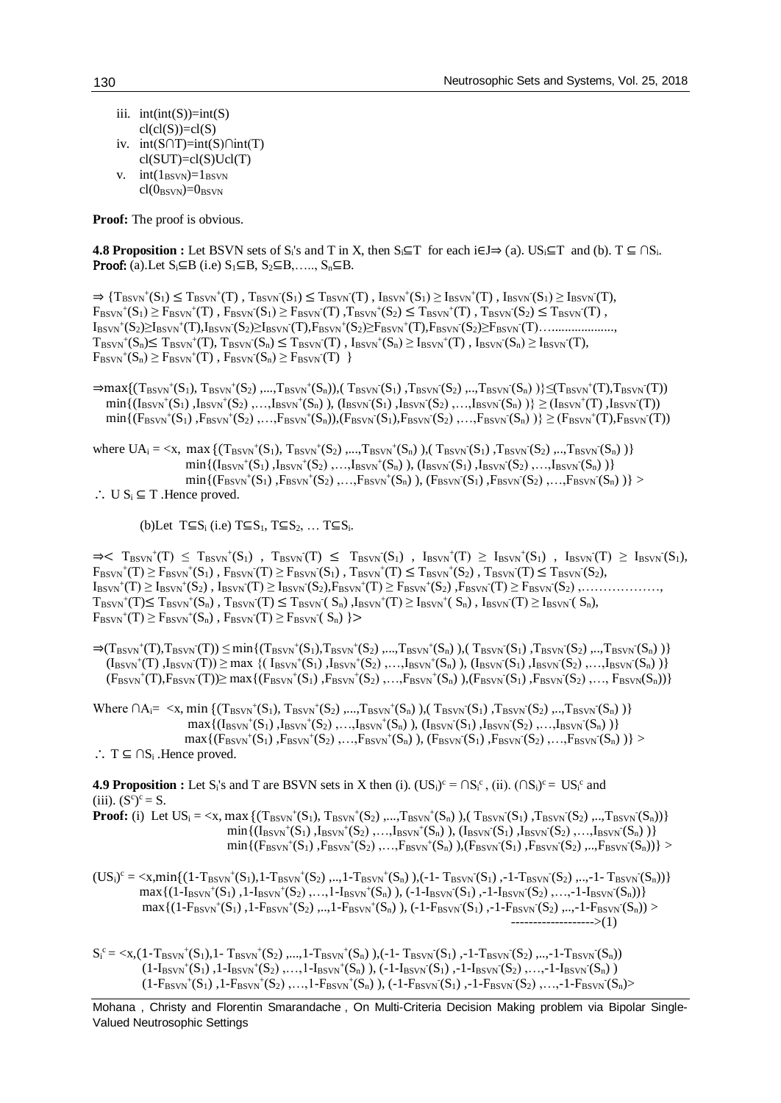- iii.  $int(int(S))=int(S)$  $cl(cl(S))=cl(S)$
- iv. int(S∩T)=int(S)∩int(T)  $cl(SUT)=cl(S)Ucl(T)$
- v.  $int(1_{\text{BSVN}})=1_{\text{BSVN}}$  $cl(O_{BSVN})=0_{BSVN}$

**Proof:** The proof is obvious.

**4.8 Proposition :** Let BSVN sets of S<sub>i</sub>'s and T in X, then  $S_i \subseteq T$  for each i $\in J \Rightarrow (a)$ . US<sub>i</sub> $\subseteq T$  and (b).  $T \subseteq \bigcap S_i$ . **Proof:** (a).Let  $S_i \subseteq B$  (i.e)  $S_1 \subseteq B$ ,  $S_2 \subseteq B$ , ...,  $S_n \subseteq B$ .

 $\Rightarrow$  { $\mathrm{T}_{\mathrm{BSVN}}(S_1) \leq \mathrm{T}_{\mathrm{BSVN}}(T)$ ,  $\mathrm{T}_{\mathrm{BSVN}}(S_1) \leq \mathrm{T}_{\mathrm{BSVN}}(T)$ ,  $\mathrm{I}_{\mathrm{BSVN}}(S_1) \geq \mathrm{I}_{\mathrm{BSVN}}(T)$ ,  $\mathrm{I}_{\mathrm{BSVN}}(S_1) \geq \mathrm{I}_{\mathrm{BSVN}}(T)$ ,  $F_{BSVN}^+(S_1) \geq F_{BSVN}^+(T)$ ,  $F_{BSVN}(S_1) \geq F_{BSVN}(T)$ ,  $T_{BSVN}^+(S_2) \leq T_{BSVN}^+(T)$ ,  $T_{BSVN}(S_2) \leq T_{BSVN}(T)$ , IBSVN + (S2)≥IBSVN + (T),IBSVN - (S2)≥IBSVN - (T),FBSVN + (S2)≥FBSVN + (T),FBSVN - (S2)≥FBSVN - (T)…...................,  $T_{\text{BSVN}}^{+}(S_n) \leq T_{\text{BSVN}}^{+}(T), T_{\text{BSVN}}^{-}(S_n) \leq T_{\text{BSVN}}^{-}(T), I_{\text{BSVN}}^{+}(S_n) \geq I_{\text{BSVN}}^{+}(T), I_{\text{BSVN}}^{-}(S_n) \geq I_{\text{BSVN}}^{-}(T),$  $F_{BSVN}^+(S_n) \geq F_{BSVN}^+(T)$ ,  $F_{BSVN}^-(S_n) \geq F_{BSVN}^-(T)$  }

 $\Rightarrow$ max{(T<sub>BSVN</sub><sup>+</sup>(S<sub>1</sub>), T<sub>BSVN</sub><sup>+</sup>(S<sub>2</sub>) ,...,T<sub>BSVN</sub><sup>+</sup>(S<sub>n</sub>)),( T<sub>BSVN</sub><sup>-</sup>(S<sub>1</sub>) ,T<sub>BSVN</sub><sup>-</sup>(S<sub>2</sub>) ,..,T<sub>BSVN</sub><sup>-</sup>(S<sub>n</sub>) )}≤(T<sub>BSVN</sub><sup>+</sup>(T),T<sub>BSVN</sub><sup>-</sup>(T))  $\min\{(\text{I}_{\text{BSVN}}^{+}(S_1),\text{I}_{\text{BSVN}}^{+}(S_2),...,\text{I}_{\text{BSVN}}^{+}(S_n)), (\text{I}_{\text{BSVN}}(S_1),\text{I}_{\text{BSVN}}(S_2),...,\text{I}_{\text{BSVN}}(S_n))\}\geq (\text{I}_{\text{BSVN}}^{+}(T),\text{I}_{\text{BSVN}}(T))$  $\min\{(\mathcal{F}_{\text{BSVN}}(S_1),\mathcal{F}_{\text{BSVN}}(S_2),...,\mathcal{F}_{\text{BSVN}}(S_n)),(\mathcal{F}_{\text{BSVN}}(S_1),\mathcal{F}_{\text{BSVN}}(S_2),...,\mathcal{F}_{\text{BSVN}}(S_n))\}\geq (\mathcal{F}_{\text{BSVN}}(T),\mathcal{F}_{\text{BSVN}}(T))$ 

where  $UA_i = \langle x, \text{ max } \{ (T_{BSVN}^+(S_1), T_{BSVN}^+(S_2), ..., T_{BSVN}^+(S_n) \rangle, (T_{BSVN}^-(S_1), T_{BSVN}^-(S_2), ..., T_{BSVN}^-(S_n) \rangle \}$  $\min\{(\text{I}_{\text{BSVN}}^{+}(S_1),\text{I}_{\text{BSVN}}^{+}(S_2),...,\text{I}_{\text{BSVN}}^{+}(S_n)), (\text{I}_{\text{BSVN}}^{+}(S_1),\text{I}_{\text{BSVN}}^{+}(S_2),...,\text{I}_{\text{BSVN}}^{+}(S_n))\}$  $\min\{(\text{F}_{\text{BSVN}}^+(\text{S}_1),\text{F}_{\text{BSVN}}^+(\text{S}_2),...,\text{F}_{\text{BSVN}}^+(\text{S}_n)$ ),  $(\text{F}_{\text{BSVN}}^-(\text{S}_1),\text{F}_{\text{BSVN}}^-(\text{S}_2),...,\text{F}_{\text{BSVN}}^-(\text{S}_n))\}$ ∴ U  $S_i$  ⊆ T .Hence proved.

(b)Let  $T\subseteq S_i$  (i.e)  $T\subseteq S_1$ ,  $T\subseteq S_2$ , ...  $T\subseteq S_i$ .

 $\Rightarrow$   $\leq$  T<sub>BSVN</sub><sup>+</sup>(T)  $\leq$  T<sub>BSVN</sub><sup>+</sup>(S<sub>1</sub>), T<sub>BSVN</sub><sup>-</sup>(S<sub>1</sub>), I<sub>BSVN</sub><sup>+</sup>(S<sub>1</sub>), I<sub>BSVN</sub><sup>+</sup>(S<sub>1</sub>), I<sub>BSVN</sub><sup>-</sup>(S<sub>1</sub>), I<sub>BSVN</sub><sup>-</sup>(T)  $\geq$  I<sub>BSVN</sub><sup>-</sup>(S<sub>1</sub>),  $F_{BSVN}^+(T) \geq F_{BSVN}^+(S_1)$ ,  $F_{BSVN}^-(T) \geq F_{BSVN}^-(S_1)$ ,  $T_{BSVN}^+(T) \leq T_{BSVN}^+(S_2)$ ,  $T_{BSVN}^-(T) \leq T_{BSVN}^-(S_2)$ , IBSVN + (T) ≥ IBSVN + (S2) , IBSVN - (T) ≥ IBSVN - (S2),FBSVN + (T) ≥ FBSVN + (S2) ,FBSVN - (T) ≥ FBSVN - (S2) ,………………,  $T_{\text{BSVN}}^+(T) \leq T_{\text{BSVN}}^+(S_n)$ ,  $T_{\text{BSVN}}^-(T) \leq T_{\text{BSVN}}^-(S_n)$ ,  $I_{\text{BSVN}}^+(T) \geq I_{\text{BSVN}}^-(S_n)$ ,  $I_{\text{BSVN}}^-(T) \geq I_{\text{BSVN}}^-(S_n)$ ,  $F_{\text{BSVN}}^+(T) \geq F_{\text{BSVN}}^+(S_n)$ ,  $F_{\text{BSVN}}^-(T) \geq F_{\text{BSVN}}^-(S_n)$   $\geq$ 

 $\Rightarrow$ (T<sub>BSVN</sub><sup>+</sup>(T),T<sub>BSVN</sub><sup>-</sup>(T))  $\leq$  min{(T<sub>BSVN</sub><sup>+</sup>(S<sub>1</sub>),T<sub>BSVN</sub><sup>+</sup>(S<sub>2</sub>),...,T<sub>BSVN</sub><sup>+</sup>(S<sub>n</sub>)),(T<sub>BSVN</sub><sup>-</sup>(S<sub>1</sub>),T<sub>BSVN</sub><sup>-</sup>(S<sub>2</sub>),..,T<sub>BSVN</sub><sup>-</sup>(S<sub>n</sub>))}  $(I_{BSVN}^+(T), I_{BSVN}(T)) \ge \max \{(I_{BSVN}^+(S_1), I_{BSVN}^+(S_2), \ldots, I_{BSVN}^+(S_n), (I_{BSVN}^-(S_1), I_{BSVN}(S_2), \ldots, I_{BSVN}(S_n)\}\$  $(\text{F}_{\text{BSVN}}^+(\text{T}),\text{F}_{\text{BSVN}}^-(\text{T})) \ge \max\{(\text{F}_{\text{BSVN}}^+(\text{S}_1),\text{F}_{\text{BSVN}}^+(\text{S}_2),...,\text{F}_{\text{BSVN}}^-(\text{S}_n), (\text{F}_{\text{BSVN}}^-(\text{S}_1),\text{F}_{\text{BSVN}}^-(\text{S}_2),...,\text{F}_{\text{BSVN}}^-(\text{S}_n))\}$ 

Where  $\bigcap A_{i} = \langle x, \min \{ (T_{BSVN}^+(S_1), T_{BSVN}^+(S_2), ..., T_{BSVN}^+(S_n) \rangle, (T_{BSVN}^-(S_1), T_{BSVN}^-(S_2), ..., T_{BSVN}^-(S_n) \rangle \}$  $max\{(I_{BSVN}^+(S_1),I_{BSVN}^+(S_2),...,I_{BSVN}^+(S_n)), (I_{BSVN}^-(S_1),I_{BSVN}^-(S_2),...,I_{BSVN}^-(S_n))\}$  $max\{ (F_{BSVN}^+(S_1), F_{BSVN}^+(S_2), ..., F_{BSVN}^+(S_n)), (F_{BSVN}^-(S_1), F_{BSVN}^-(S_2), ..., F_{BSVN}^-(S_n)) \}$ ∴ T  $\subseteq \bigcap S_i$  . Hence proved.

**4.9 Proposition :** Let S<sub>i</sub>'s and T are BSVN sets in X then (i).  $(US_i)^c = \bigcap S_i^c$ , (ii).  $(\bigcap S_i)^c = US_i^c$  and (iii).  $(S^c)^c = S$ .

**Proof:** (i) Let  $US_i = \langle x, \max\{ (T_{BSVN}^+(S_1), T_{BSVN}^+(S_2), ..., T_{BSVN}^+(S_n) \rangle, (T_{BSVN}^-(S_1), T_{BSVN}^-(S_2), ..., T_{BSVN}^-(S_n) ) \}$  $min\{(\text{I}_{\text{BSVN}}^+(\text{S}_1),\text{I}_{\text{BSVN}}^+(\text{S}_2),...,\text{I}_{\text{BSVN}}^+(\text{S}_n), (\text{I}_{\text{BSVN}}^-(\text{S}_1),\text{I}_{\text{BSVN}}^-(\text{S}_2),...,\text{I}_{\text{BSVN}}^-(\text{S}_n)\}$  $\min\{(\text{F}_{\text{BSVN}}^+(\text{S}_1),\text{F}_{\text{BSVN}}^+(\text{S}_2),...,\text{F}_{\text{BSVN}}^+(\text{S}_n),(\text{F}_{\text{BSVN}}^-(\text{S}_1),\text{F}_{\text{BSVN}}^-(\text{S}_2),...,\text{F}_{\text{BSVN}}^-(\text{S}_n))\}$ 

 $(US_i)^c = \langle x, min\{(1-T_{BSVN}^+(S_1), 1-T_{BSVN}^+(S_2), ..., 1-T_{BSVN}^+(S_n), (0.1-T_{BSVN}^-(S_1), -1-T_{BSVN}^-(S_2), ..., -1-T_{BSVN}^-(S_n))\}\$  $\max\{(1-I_{BSVN}^+(S_1), 1-I_{BSVN}^+(S_2),..., 1-I_{BSVN}^+(S_n)), (-1-I_{BSVN}^-(S_1), -1-I_{BSVN}^-(S_2),..., -1-I_{BSVN}^-(S_n))\}$  $\max\{(1-F_{BSVN}^+(S_1), 1-F_{BSVN}^+(S_2), ..., 1-F_{BSVN}^+(S_n)), (-1-F_{BSVN}^-(S_1), -1-F_{BSVN}^-(S_2), ..., -1-F_{BSVN}^-(S_n))\}$ ------------------->(1)

 $S_i^c = \langle x, (1 - T_{BSVN}^+(S_1), 1 - T_{BSVN}^+(S_2), ..., 1 - T_{BSVN}^+(S_n))$ , (-1-  $T_{BSVN}^-(S_1)$ ), -1- $T_{BSVN}^-(S_2)$ , ...,-1- $T_{BSVN}^-(S_n)$ )  $(1-I_{\rm BSVN}^+(S_1),1-I_{\rm BSVN}^+(S_2),...,1-I_{\rm BSVN}^+(S_n)), (-1-I_{\rm BSVN}(S_1),-1-I_{\rm BSVN}(S_2),...,1-I_{\rm BSVN}(S_n))$  $(1-F_{\text{BSVN}}(S_1), 1-F_{\text{BSVN}}(S_2),..., 1-F_{\text{BSVN}}(S_n)), (-1-F_{\text{BSVN}}(S_1), -1-F_{\text{BSVN}}(S_2),..., -1-F_{\text{BSVN}}(S_n)$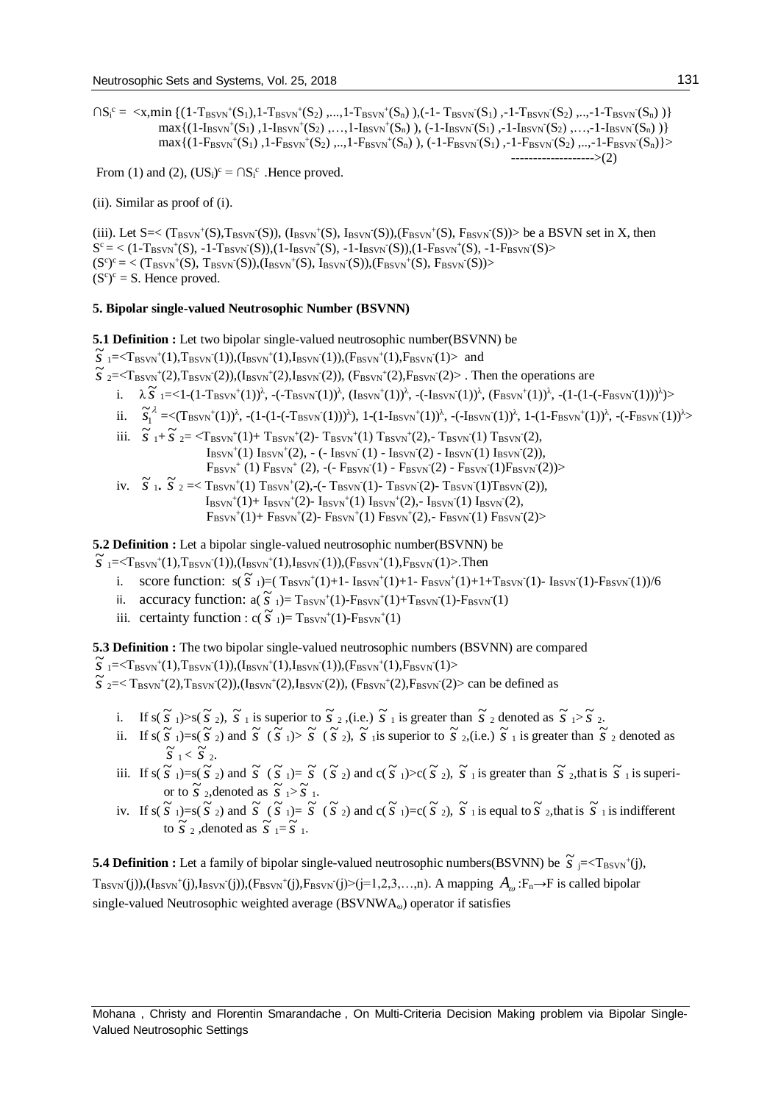$\bigcap S_i^c = \langle x, min \{ (1 - T_{BSVN}^+(S_1), 1 - T_{BSVN}^+(S_2), ..., 1 - T_{BSVN}^+(S_n) \rangle, (-1 - T_{BSVN}(S_1), -1 - T_{BSVN}(S_2), ..., -1 - T_{BSVN}(S_n) \rangle \}$  $\max\{(1-I_{BSVN}^+(S_1), 1-I_{BSVN}^+(S_2), ..., 1-I_{BSVN}^+(S_n)), (-1-I_{BSVN}^-(S_1), -1-I_{BSVN}^-(S_2), ..., -1-I_{BSVN}^-(S_n))\}$  $\max\{(1-P_{BSVN}^+(S_1),1-P_{BSVN}^+(S_2),...,1-P_{BSVN}^+(S_n)), (-1-P_{BSVN}^-(S_1),-1-P_{BSVN}^-(S_2),...,1-P_{BSVN}^-(S_n)\}$ ------------------->(2)

From (1) and (2),  $(US_i)^c = \bigcap S_i^c$ . Hence proved.

(ii). Similar as proof of (i).

(iii). Let  $S = \langle (T_{BSVN}^+(S), T_{BSVN}^-(S)), (I_{BSVN}^+(S), I_{BSVN}^-(S)), (F_{BSVN}^+(S), F_{BSVN}^-(S)) \rangle$  be a BSVN set in X, then  $S^c = \langle (1 - T_{BSVN}^+(S), -1 - T_{BSVN}^-(S)), (1 - I_{BSVN}^+(S), -1 - I_{BSVN}^-(S)), (1 - F_{BSVN}^+(S), -1 - F_{BSVN}^-(S) \rangle$  $(S^{c})^{c} = \langle (T_{BSVN}^{+}(S), T_{BSVN}^{-}(S)), (I_{BSVN}^{+}(S), I_{BSVN}^{-}(S)), (F_{BSVN}^{+}(S), F_{BSVN}^{-}(S)) \rangle$  $(S<sup>c</sup>)<sup>c</sup> = S$ . Hence proved.

# **5. Bipolar single-valued Neutrosophic Number (BSVNN)**

**5.1 Definition :** Let two bipolar single-valued neutrosophic number(BSVNN) be

 $\overline{S}$   $_{1} = \langle$ T<sub>BSVN</sub><sup>+</sup>(1),T<sub>BSVN</sub><sup>+</sup>(1),(I<sub>BSVN</sub><sup>+</sup>(1),I<sub>BSVN</sub><sup>+</sup>(1),I<sub>BSVN</sub><sup>+</sup>(1),F<sub>BSVN</sub><sup>+</sup>(1),F<sub>BSVN</sub><sup>+</sup>(1),P<sub>BSVN</sub><sup>+</sup>(1),P<sub>BSVN</sub><sup>+</sup>(1),P<sub>BSVN</sub><sup>+</sup>(1),P<sub>BSVN</sub><sup>+</sup>(1),P<sub>BSVN</sub><sup>+</sup>(1),P<sub>BSVN</sub><sup>+</sup>(1),P<sub>BSVN</sub><sup>+</sup>(1),P<sub>BSVN</sub>

- $\tilde{s}$   $_{2} = \langle T_{\text{BSVN}}(2), T_{\text{BSVN}}(2), (I_{\text{BSVN}}(2), I_{\text{BSVN}}(2), (F_{\text{BSVN}}(2), F_{\text{BSVN}}(2))$ . Then the operations are
	- $\frac{1}{\lambda}$ ,  $\frac{\lambda}{\lambda}$  = <1-(1-T<sub>BSVN</sub>+(1))<sup>λ</sup>, -(-T<sub>BSVN</sub>(1))<sup>λ</sup>, (I<sub>BSVN</sub>+(1))<sup>λ</sup>, -(-I<sub>BSVN</sub>+(1))<sup>λ</sup>, -(I<sub>BSVN</sub>+(1))<sup>λ</sup>, -(1-(1-(-F<sub>BSVN</sub>+(1))<sup>λ</sup>)>
	- ii.  $\tilde{s}_1^{\lambda} = \langle (T_{BSVN}^+(1))^{\lambda}, -(1 (1 (T_{BSVN}(1)))^{\lambda}), 1 (1 I_{BSVN}^+(1))^{\lambda}, -(-I_{BSVN}(1))^{\lambda}, 1 (1 F_{BSVN}^+(1))^{\lambda}, -(-F_{BSVN}(1))^{\lambda} \rangle$
	- iii.  $\overline{S}_{1} + \overline{S}_{2} = \langle T_{BSVN}^+(1) + T_{BSVN}^+(2) T_{BSVN}^+(1) T_{BSVN}^+(2)$ ,  $T_{BSVN}^-(1) T_{BSVN}^-(2)$ ,  $I_{\rm BSVN}^+(1) I_{\rm BSVN}^+(2)$ , - (-  $I_{\rm BSVN}^-(1)$  -  $I_{\rm BSVN}^-(2)$  -  $I_{\rm BSVN}^-(1) I_{\rm BSVN}^-(2)$ ),  $F_{BSVN}$ <sup>+</sup> (1)  $F_{BSVN}$ <sup>+</sup> (2), -(-  $F_{BSVN}$ (1) -  $F_{BSVN}$ (2) -  $F_{BSVN}$ (1) $F_{BSVN}$ (2))>
	- iv.  $\tilde{s}$  1.  $\tilde{s}$  2 =  $\text{T}_{\text{BSVN}}(1) \text{T}_{\text{BSVN}}(2)$ ,-(- $\text{T}_{\text{BSVN}}(1)$ - $\text{T}_{\text{BSVN}}(2)$ - $\text{T}_{\text{BSVN}}(1) \text{T}_{\text{BSVN}}(2)$ ),  $I_{BSVN}^+(1)$ +  $I_{BSVN}^+(2)$ -  $I_{BSVN}^+(1)$   $I_{BSVN}^+(2)$ ,-  $I_{BSVN}^-(1)$   $I_{BSVN}^-(2)$ ,  $F_{\text{BSVN}}(1)$  +  $F_{\text{BSVN}}(2)$ -  $F_{\text{BSVN}}(1) F_{\text{BSVN}}(2)$ ,-  $F_{\text{BSVN}}(1) F_{\text{BSVN}}(2)$

**5.2 Definition :** Let a bipolar single-valued neutrosophic number(BSVNN) be

 $\overline{S}$   $_{1}$  =<T<sub>BSVN</sub><sup>+</sup>(1),T<sub>BSVN</sub><sup>+</sup>(1),(I<sub>BSVN</sub><sup>+</sup>(1),I<sub>BSVN</sub><sup>+</sup>(1),(F<sub>BSVN</sub><sup>+</sup>(1),F<sub>BSVN</sub><sup>+</sup>(1)>.Then

- i. score function:  $s(\tilde{s}_1) = (T_{BSVN}^+(1)+1 T_{BSVN}^+(1)+1 F_{BSVN}^+(1)+1 + T_{BSVN}^-(1) T_{BSVN}^-(1)$
- ii. accuracy function:  $a(\vec{s})_1$  = T<sub>BSVN</sub><sup>+</sup>(1)-F<sub>BSVN</sub><sup>+</sup>(1)+T<sub>BSVN</sub><sup>-</sup>(1)-F<sub>BSVN</sub><sup>-</sup>(1)-F<sub>BSVN</sub><sup>-</sup>(1)
- iii. certainty function:  $c(\tilde{s})_1$ )= T<sub>BSVN</sub><sup>+</sup>(1)-F<sub>BSVN</sub><sup>+</sup>(1)

**5.3 Definition :** The two bipolar single-valued neutrosophic numbers (BSVNN) are compared

 $\widetilde{S}$  =<T<sub>BSVN</sub><sup>+</sup>(1),T<sub>BSVN</sub><sup>+</sup>(1),(I<sub>BSVN</sub><sup>+</sup>(1),I<sub>BSVN</sub><sup>+</sup>(1),I<sub>BSVN</sub><sup>+</sup>(1),F<sub>BSVN</sub><sup>+</sup>(1)<

 $\overline{S}$   $_{2} = \langle T_{\text{BSVN}}(2), T_{\text{BSVN}}(2), (I_{\text{BSVN}}(2), I_{\text{BSVN}}(2), (F_{\text{BSVN}}(2), F_{\text{BSVN}}(2) \rangle$  can be defined as

- i. If  $s(\tilde{s}_1) > s(\tilde{s}_2), \tilde{s}_1$  is superior to  $\tilde{s}_2$ , (i.e.)  $\tilde{s}_1$  is greater than  $\tilde{s}_2$  denoted as  $\tilde{s}_1 > \tilde{s}_2$ .
- ii. If  $s(\tilde{s}_1) = s(\tilde{s}_2)$  and  $\tilde{s}(\tilde{s}_1) > \tilde{s}(\tilde{s}_2)$ ,  $\tilde{s}_1$  is superior to  $\tilde{s}_2$ ,(i.e.)  $\tilde{s}_1$  is greater than  $\tilde{s}_2$  denoted as  $\widetilde{\mathbf{S}}$ <sub>1</sub> <  $\widetilde{\mathbf{S}}$ <sub>2</sub>.
- iii. If  $s(\vec{S}_1) = s(\vec{S}_2)$  and  $\vec{S}(\vec{S}_1) = \vec{S}(\vec{S}_2)$  and  $c(\vec{S}_1) > c(\vec{S}_2)$ ,  $\vec{S}(\vec{S}_1)$  is greater than  $\vec{S}(\vec{S}_2)$ , that is  $\vec{S}(\vec{S}_1)$  is superior to  $\tilde{S}$  2, denoted as  $\tilde{S}$  1>  $\tilde{S}$  1.
- iv. If  $s(\tilde{s}_1) = s(\tilde{s}_2)$  and  $\tilde{s}(\tilde{s}_1) = \tilde{s}(\tilde{s}_2)$  and  $c(\tilde{s}_1) = c(\tilde{s}_2)$ ,  $\tilde{s}_1$  is equal to  $\tilde{s}_2$ , that is  $\tilde{s}_1$  is indifferent to  $\tilde{S}$  2, denoted as  $\tilde{S}$   $_{1} = \tilde{S}$  1.

**5.4 Definition :** Let a family of bipolar single-valued neutrosophic numbers(BSVNN) be  $\tilde{S}$   $j=$   $\lt$ T<sub>BSVN</sub><sup>+</sup>(j),  $T_{BSVN}(j)$ ),(I<sub>BSVN</sub><sup>+</sup>(j),I<sub>BSVN</sub><sup>-</sup>(j)),(F<sub>BSVN</sub><sup>+</sup>(j),F<sub>BSVN</sub><sup>-</sup>(j)>(j=1,2,3,...,n). A mapping  $A_{\omega}$ :F<sub>n</sub>→F is called bipolar single-valued Neutrosophic weighted average (BSVNWA<sub>ω</sub>) operator if satisfies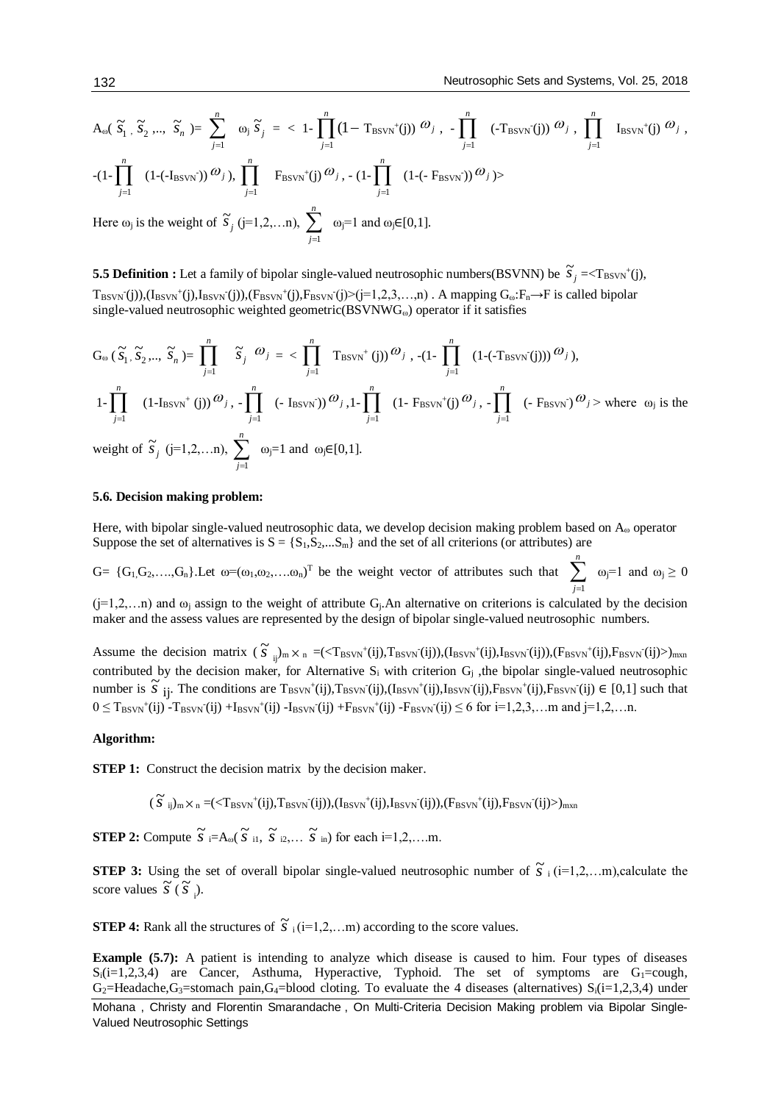$$
A_{\omega}(\widetilde{S}_{1}, \widetilde{S}_{2}, \ldots, \widetilde{S}_{n}) = \sum_{j=1}^{n} \omega_{j} \widetilde{S}_{j} = \langle 1 - \prod_{j=1}^{n} (1 - T_{BSVN}^{+}(j)) \omega_{j}, - \prod_{j=1}^{n} (-T_{BSVN}^{+}(j)) \omega_{j}, \prod_{j=1}^{n} I_{BSVN}^{+}(j) \omega_{j},
$$
  
\n
$$
-(1 - \prod_{j=1}^{n} (1 - (-I_{BSVN}^{-})) \omega_{j}), \prod_{j=1}^{n} F_{BSVN}^{+}(j) \omega_{j}, - (1 - \prod_{j=1}^{n} (1 - (-F_{BSVN}^{-})) \omega_{j}) \rangle
$$

Here  $\omega_j$  is the weight of  $\widetilde{s}_j$  (j=1,2,...n),  $\sum_{j=1}^n$  $ω_j$ =1 and  $ω_j$ ∈[0,1].

**5.5 Definition :** Let a family of bipolar single-valued neutrosophic numbers(BSVNN) be  $\tilde{s}_j = r_{\text{BSVN}}(j)$ ,  $T_{BSVN}(j)$ ), $(I_{BSVN}^+(j)$ , $I_{BSVN}(j)$ ), $(F_{BSVN}^+(j)$ , $F_{BSVN}(j)$  $(j=1,2,3,...,n)$ . A mapping  $G_{\omega}$ : $F_n \rightarrow F$  is called bipolar single-valued neutrosophic weighted geometric(BSVNWG<sub>ω</sub>) operator if it satisfies

$$
G_{\omega}(\widetilde{S}_{1}, \widetilde{S}_{2},...,\widetilde{S}_{n}) = \prod_{j=1}^{n} \widetilde{S}_{j} \omega_{j} = \sum_{j=1}^{n} \text{T}_{BSVN}^{+}(j) \omega_{j}, -(1 - \prod_{j=1}^{n} (1 - (-T_{BSVN}^{-}(j))) \omega_{j}),
$$
  
\n
$$
1 - \prod_{j=1}^{n} (1 - I_{BSVN}^{+}(j)) \omega_{j}, - \prod_{j=1}^{n} (-I_{BSVN}^{-}) \omega_{j}, 1 - \prod_{j=1}^{n} (1 - F_{BSVN}^{+}(j) \omega_{j}, - \prod_{j=1}^{n} (-F_{BSVN}^{-}) \omega_{j} > \text{where } \omega_{j} \text{ is the weight of } \widetilde{S}_{j} \text{ (j=1,2,...n), } \sum_{j=1}^{n} \omega_{j} = 1 \text{ and } \omega_{j} \in [0,1].
$$

weight of  $\tilde{s}_j$  $(j=1,2,...n), \sum_{j=1}$  $\overline{j=1}$ 

## **5.6. Decision making problem:**

Here, with bipolar single-valued neutrosophic data, we develop decision making problem based on A<sup>ω</sup> operator Suppose the set of alternatives is  $S = \{S_1, S_2, ... S_m\}$  and the set of all criterions (or attributes) are

 $G = \{G_1, G_2, \ldots, G_n\}$ . Let  $\omega = (\omega_1, \omega_2, \ldots, \omega_n)^T$  be the weight vector of attributes such that  $\sum_{j=1}^n$ *j*=1  $ω_j=1$  and  $ω_j ≥ 0$ 

 $(j=1,2,...n)$  and  $\omega_j$  assign to the weight of attribute G<sub>j</sub>.An alternative on criterions is calculated by the decision maker and the assess values are represented by the design of bipolar single-valued neutrosophic numbers.

Assume the decision matrix  $(\tilde{s}_{ij})_m \times_n = (\langle T_{BSVN}^+(ij), T_{BSVN}^-(ij), (I_{BSVN}^+(ij), I_{BSVN}^-(ij), (F_{BSVN}^+(ij), F_{BSVN}^-(ij))$ <sub>mxn</sub> contributed by the decision maker, for Alternative  $S_i$  with criterion  $G_j$ , the bipolar single-valued neutrosophic number is  $\tilde{s}$  ij. The conditions are  $T_{BSVN}^+(i,j)$ , $T_{BSVN}^-(i,j)$ , $T_{BSVN}^-(i,j)$ , $F_{BSVN}^-(i,j)$ , $F_{BSVN}^-(i,j)$ , $F_{BSVN}^-(i,j)$   $\in [0,1]$  such that  $0 \le T_{BSVN}^+(i)$  -  $T_{BSVN}^-(i)$  +  $I_{BSVN}^+(i)$  -  $I_{BSVN}^-(i)$  +  $F_{BSVN}^+(i)$  -  $F_{BSVN}^-(i) \le 6$  for  $i=1,2,3,...$  m and  $j=1,2,...$  n.

#### **Algorithm:**

**STEP 1:** Construct the decision matrix by the decision maker.

 $(\widetilde{s}$ <sub>ij</sub>)<sub>m</sub>  $\times_n = (*T<sub>BSVN</sub><sup>+</sup>(ij),T<sub>BSVN</sub><sup>+</sup>(ij)),(I<sub>BSVN</sub><sup>+</sup>(ij),I<sub>BSVN</sub><sup>+</sup>(ij)),(F<sub>BSVN</sub><sup>+</sup>(ij),F<sub>BSVN</sub><sup>+</sup>(ij))*$ <sub>mxn</sub>

**STEP 2:** Compute  $\widetilde{S}$   $:=$   $A_{\omega}(\widetilde{S}$  i<sub>1</sub>,  $\widetilde{S}$   $_{i2}$ ,...  $\widetilde{S}$  i<sub>n</sub>) for each i=1,2,....m.

**STEP 3:** Using the set of overall bipolar single-valued neutrosophic number of  $\tilde{S}_i$  (i=1,2,...m),calculate the score values  $\tilde{S}$  ( $\tilde{S}$ <sub>i</sub>).

**STEP 4:** Rank all the structures of  $\tilde{S}$  <sub>i</sub>(i=1,2,...m) according to the score values.

**Example (5.7):** A patient is intending to analyze which disease is caused to him. Four types of diseases  $S_i(i=1,2,3,4)$  are Cancer, Asthuma, Hyperactive, Typhoid. The set of symptoms are G<sub>1</sub>=cough,  $G_2$ =Headache, $G_3$ =stomach pain, $G_4$ =blood cloting. To evaluate the 4 diseases (alternatives)  $S_i(i=1,2,3,4)$  under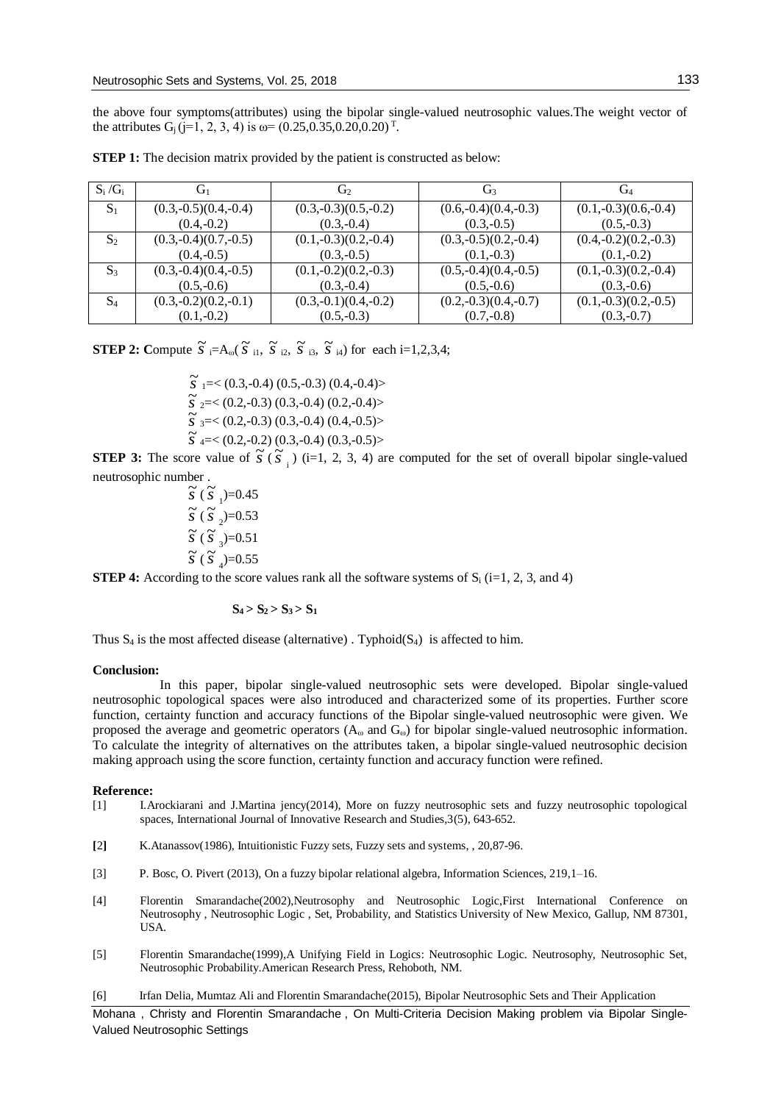the above four symptoms(attributes) using the bipolar single-valued neutrosophic values.The weight vector of the attributes  $G_j$  (j=1, 2, 3, 4) is  $\omega$ = (0.25,0.35,0.20,0.20)<sup>T</sup>.

| $S_i/G_i$      | $\mathrm{G}_1$         | G2                     | G3                     | $\rm G_{4}$            |
|----------------|------------------------|------------------------|------------------------|------------------------|
| $S_1$          | $(0.3,-0.5)(0.4,-0.4)$ | $(0.3,-0.3)(0.5,-0.2)$ | $(0.6,-0.4)(0.4,-0.3)$ | $(0.1,-0.3)(0.6,-0.4)$ |
|                | $(0.4,-0.2)$           | $(0.3,-0.4)$           | $(0.3,-0.5)$           | $(0.5,-0.3)$           |
| $S_2$          | $(0.3,-0.4)(0.7,-0.5)$ | $(0.1,-0.3)(0.2,-0.4)$ | $(0.3,-0.5)(0.2,-0.4)$ | $(0.4,-0.2)(0.2,-0.3)$ |
|                | $(0.4,-0.5)$           | $(0.3,-0.5)$           | $(0.1,-0.3)$           | $(0.1,-0.2)$           |
| $S_3$          | $(0.3,-0.4)(0.4,-0.5)$ | $(0.1,-0.2)(0.2,-0.3)$ | $(0.5,-0.4)(0.4,-0.5)$ | $(0.1,-0.3)(0.2,-0.4)$ |
|                | $(0.5,-0.6)$           | $(0.3,-0.4)$           | $(0.5,-0.6)$           | $(0.3,-0.6)$           |
| S <sub>4</sub> | $(0.3,-0.2)(0.2,-0.1)$ | $(0.3,-0.1)(0.4,-0.2)$ | $(0.2,-0.3)(0.4,-0.7)$ | $(0.1,-0.3)(0.2,-0.5)$ |
|                | $(0.1,-0.2)$           | $(0.5,-0.3)$           | $(0.7,-0.8)$           | $(0.3,-0.7)$           |

**STEP 1:** The decision matrix provided by the patient is constructed as below:

**STEP 2:** Compute  $\widetilde{S}$   $:= A_{\omega}(\widetilde{S}$  i<sub>1</sub>,  $\widetilde{S}$  i<sub>2</sub>,  $\widetilde{S}$  i<sub>3</sub>,  $\widetilde{S}$  i<sub>4</sub>) for each i=1,2,3,4;

 $\widetilde{s}$ <sub>1</sub> = < (0.3,-0.4) (0.5,-0.3) (0.4,-0.4) >  $\widetilde{s}$   $_{2} = <$  (0.2,-0.3) (0.3,-0.4) (0.2,-0.4) >  $\widetilde{s}$  <sub>3</sub> = < (0.2,-0.3) (0.3,-0.4) (0.4,-0.5) >  $\widetilde{s}$  <sub>4</sub> = < (0.2,-0.2) (0.3,-0.4) (0.3,-0.5) >

**STEP 3:** The score value of  $\tilde{s}$  ( $\tilde{s}$ <sub>i</sub>) (i=1, 2, 3, 4) are computed for the set of overall bipolar single-valued neutrosophic number .

 $\frac{56}{5}$  ( $\frac{5}{5}$ <sub>1</sub>)=0.45  $\tilde{s}$  ( $\tilde{s}$ <sub>2</sub>)=0.53  $\tilde{s}$  ( $\tilde{s}$ <sup>2</sup><sub>3</sub>)=0.51  $\tilde{s}$  ( $\tilde{s}$ <sup>3</sup><sub>4</sub>)=0.55

**STEP 4:** According to the score values rank all the software systems of  $S_i$  (i=1, 2, 3, and 4)

# $S_4 > S_2 > S_3 > S_1$

Thus  $S_4$  is the most affected disease (alternative). Typhoid( $S_4$ ) is affected to him.

#### **Conclusion:**

In this paper, bipolar single-valued neutrosophic sets were developed. Bipolar single-valued neutrosophic topological spaces were also introduced and characterized some of its properties. Further score function, certainty function and accuracy functions of the Bipolar single-valued neutrosophic were given. We proposed the average and geometric operators  $(A_\omega$  and  $G_\omega$ ) for bipolar single-valued neutrosophic information. To calculate the integrity of alternatives on the attributes taken, a bipolar single-valued neutrosophic decision making approach using the score function, certainty function and accuracy function were refined.

### **Reference:**

- [1] I.Arockiarani and J.Martina jency(2014), More on fuzzy neutrosophic sets and fuzzy neutrosophic topological spaces, International Journal of Innovative Research and Studies,3(5), 643-652.
- **[**2**]** K.Atanassov(1986), Intuitionistic Fuzzy sets, Fuzzy sets and systems, , 20,87-96.
- [3] P. Bosc, O. Pivert (2013), On a fuzzy bipolar relational algebra, Information Sciences, 219,1–16.
- [4] Florentin Smarandache(2002),Neutrosophy and Neutrosophic Logic,First International Conference on Neutrosophy , Neutrosophic Logic , Set, Probability, and Statistics University of New Mexico, Gallup, NM 87301, USA.
- [5] Florentin Smarandache(1999),A Unifying Field in Logics: Neutrosophic Logic. Neutrosophy, Neutrosophic Set, Neutrosophic Probability.American Research Press, Rehoboth, NM.
- [6] Irfan Delia, Mumtaz Ali and Florentin Smarandache(2015), Bipolar Neutrosophic Sets and Their Application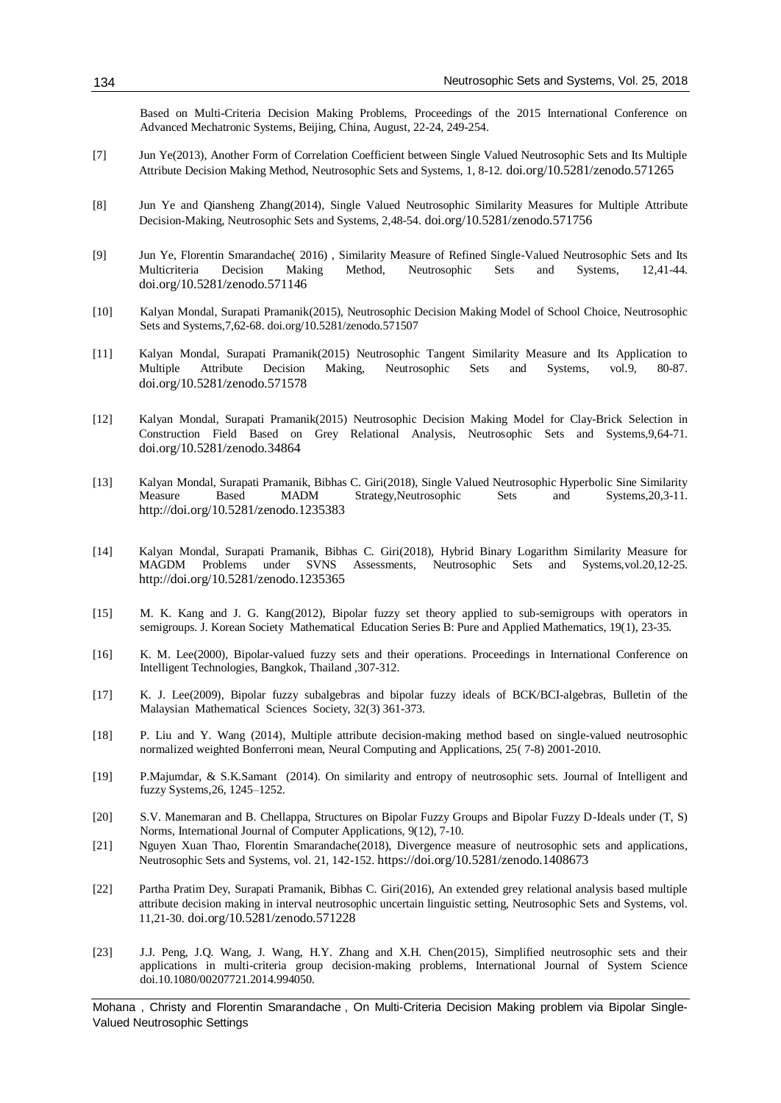Based on Multi-Criteria Decision Making Problems, Proceedings of the 2015 International Conference on Advanced Mechatronic Systems, Beijing, China, August, 22-24, 249-254.

- [7] Jun Ye(2013), [Another Form of Correlation Coefficient between Single Valued Neutrosophic Sets and Its Multiple](http://fs.unm.edu/NSS/AnotherFormOfCorrelationCoefficient.pdf)  [Attribute Decision Making Method, Neutrosophic Sets and Systems, 1,](http://fs.unm.edu/NSS/AnotherFormOfCorrelationCoefficient.pdf) 8-12. doi.org/10.5281/zenodo.571265
- [8] Jun Ye and Qiansheng Zhang(2014), [Single Valued Neutrosophic Similarity Measures for Multiple Attribute](http://fs.unm.edu/NSS/SingleValuedNeutrosophicSimilarityMeasures.pdf)  [Decision-Making, Neutrosophic Sets](http://fs.unm.edu/NSS/SingleValuedNeutrosophicSimilarityMeasures.pdf) and Systems, 2,48-54. doi.org/10.5281/zenodo.571756
- [9] Jun Ye, Florentin Smarandache( 2016) , [Similarity Measure of Refined Single-Valued Neutrosophic Sets and Its](http://fs.unm.edu/NSS/SimilarityMeasureOfRefined.pdf)  [Multicriteria Decision Making Method, Neutrosophic Sets and Systems, 12,41-44.](http://fs.unm.edu/NSS/SimilarityMeasureOfRefined.pdf) doi.org/10.5281/zenodo.571146
- [10] Kalyan Mondal, Surapati Pramanik(2015), [Neutrosophic Decision Making Model of School Choice, Neutrosophic](http://fs.unm.edu/NSS/NeutrosophicDecisionMakingModel.pdf)  Sets [and Systems,7,62-68.](http://fs.unm.edu/NSS/NeutrosophicDecisionMakingModel.pdf) doi.org/10.5281/zenodo.571507
- [11] Kalyan Mondal, Surapati Pramanik(2015) [Neutrosophic Tangent Similarity Measure and Its Application to](http://fs.unm.edu/NSS/NeutrosophicTangentSimilarityMeasure.pdf)  [Multiple Attribute Decision Making, Neutrosophic Sets and Systems, vol.9, 80-87.](http://fs.unm.edu/NSS/NeutrosophicTangentSimilarityMeasure.pdf) doi.org/10.5281/zenodo.571578
- [12] Kalyan Mondal, Surapati Pramanik(2015) [Neutrosophic Decision Making Model for Clay-Brick Selection in](http://fs.unm.edu/NSS/NeutrosophicDecisionMakingModel.pdf)  [Construction Field Based on Grey Relational Analysis, Neutrosophic Sets and Systems,9,64-71.](http://fs.unm.edu/NSS/NeutrosophicDecisionMakingModel.pdf) doi.org/10.5281/zenodo.34864
- [13] Kalyan Mondal, Surapati Pramanik, Bibhas C. Giri(2018), Single Valued Neutrosophic Hyperbolic Sine Similarity Measure Based MADM Strategy,Neutrosophic Sets and Systems,20,3-11. http://doi.org/10.5281/zenodo.1235383
- [14] Kalyan Mondal, Surapati Pramanik, Bibhas C. Giri(2018), Hybrid Binary Logarithm Similarity Measure for MAGDM Problems under SVNS Assessments, Neutrosophic Sets and Systems,vol.20,12-25. http://doi.org/10.5281/zenodo.1235365
- [15] M. K. Kang and J. G. Kang(2012), Bipolar fuzzy set theory applied to sub-semigroups with operators in semigroups. J. Korean Society Mathematical Education Series B: Pure and Applied Mathematics, 19(1), 23-35.
- [16] K. M. Lee(2000), Bipolar-valued fuzzy sets and their operations. Proceedings in International Conference on Intelligent Technologies, Bangkok, Thailand ,307-312.
- [17] K. J. Lee(2009), Bipolar fuzzy subalgebras and bipolar fuzzy ideals of BCK/BCI-algebras, Bulletin of the Malaysian Mathematical Sciences Society, 32(3) 361-373.
- [18] P. Liu and Y. Wang (2014), Multiple attribute decision-making method based on single-valued neutrosophic normalized weighted Bonferroni mean, Neural Computing and Applications, 25( 7-8) 2001-2010.
- [19] P.Majumdar, & S.K.Samant (2014). On similarity and entropy of neutrosophic sets. Journal of Intelligent and fuzzy Systems,26, 1245–1252.
- [20] S.V. Manemaran and B. Chellappa, Structures on Bipolar Fuzzy Groups and Bipolar Fuzzy D-Ideals under (T, S) Norms, International Journal of Computer Applications, 9(12), 7-10.
- [21] Nguyen Xuan Thao, Florentin Smarandache(2018), [Divergence measure of neutrosophic sets and applications,](http://fs.unm.edu/NSS/DivergenceMeasureOfNeutrosophicSets.pdf)  Neutrosophic Sets and Systems, vol. 21, 142-152. https://doi.org/10.5281/zenodo.1408673
- [22] [Partha Pratim Dey, Surapati Pramanik, Bibhas C. Giri\(2016\),](http://fs.unm.edu/NSS/AnExtendedGreyRelationalAnalysis.pdf) An extended grey relational analysis based multiple [attribute decision making in interval neutrosophic uncertain linguistic setting, Neutrosophic Sets and Systems, vol.](http://fs.unm.edu/NSS/AnExtendedGreyRelationalAnalysis.pdf)  [11,21-30.](http://fs.unm.edu/NSS/AnExtendedGreyRelationalAnalysis.pdf) doi.org/10.5281/zenodo.571228
- [23] J.J. Peng, J.Q. Wang, J. Wang, H.Y. Zhang and X.H. Chen(2015), Simplified neutrosophic sets and their applications in multi-criteria group decision-making problems, International Journal of System Science doi.10.1080/00207721.2014.994050.